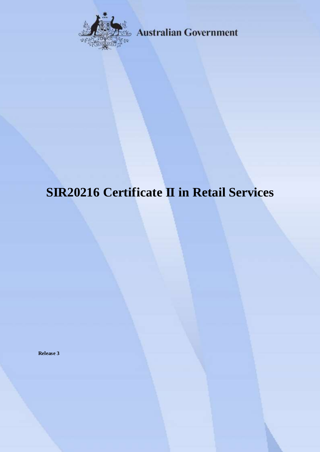

**Australian Government** 

# **SIR20216 Certificate II in Retail Services**

**Release 3**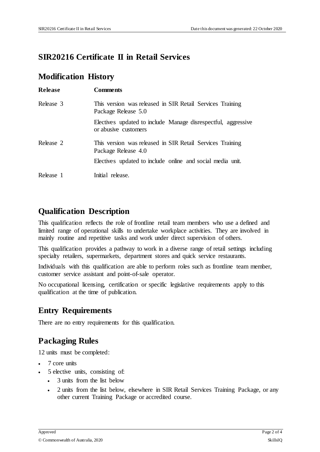### **SIR20216 Certificate II in Retail Services**

### **Modification History**

| <b>Release</b> | <b>Comments</b>                                                                       |
|----------------|---------------------------------------------------------------------------------------|
| Release 3      | This version was released in SIR Retail Services Training<br>Package Release 5.0      |
|                | Electives updated to include Manage disrespectful, aggressive<br>or abusive customers |
| Release 2      | This version was released in SIR Retail Services Training<br>Package Release 4.0      |
|                | Electives updated to include online and social media unit.                            |
| Release 1      | Initial release.                                                                      |

# **Qualification Description**

This qualification reflects the role of frontline retail team members who use a defined and limited range of operational skills to undertake workplace activities. They are involved in mainly routine and repetitive tasks and work under direct supervision of others.

This qualification provides a pathway to work in a diverse range of retail settings including specialty retailers, supermarkets, department stores and quick service restaurants.

Individuals with this qualification are able to perform roles such as frontline team member, customer service assistant and point-of-sale operator.

No occupational licensing, certification or specific legislative requirements apply to this qualification at the time of publication.

# **Entry Requirements**

There are no entry requirements for this qualification.

# **Packaging Rules**

12 units must be completed:

- 7 core units
- 5 elective units, consisting of:
	- 3 units from the list below
	- 2 units from the list below, elsewhere in SIR Retail Services Training Package, or any other current Training Package or accredited course.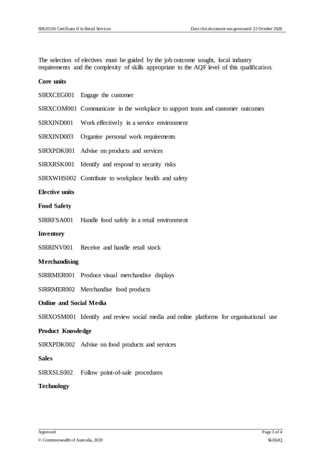The selection of electives must be guided by the job outcome sought, local industry requirements and the complexity of skills appropriate to the AQF level of this qualification.

#### **Core units**

|                                | SIRXCEG001 Engage the customer                                                          |
|--------------------------------|-----------------------------------------------------------------------------------------|
|                                | SIRXCOM001 Communicate in the workplace to support team and customer outcomes           |
| SIRXIND001                     | Work effectively in a service environment                                               |
| SIRXIND003                     | Organise personal work requirements                                                     |
| SIRXPDK001                     | Advise on products and services                                                         |
| SIRXRSK001                     | Identify and respond to security risks                                                  |
|                                | SIRXWHS002 Contribute to workplace health and safety                                    |
| <b>Elective units</b>          |                                                                                         |
| <b>Food Safety</b>             |                                                                                         |
|                                | SIRRFSA001 Handle food safely in a retail environment                                   |
| Inventory                      |                                                                                         |
|                                | SIRRINV001 Receive and handle retail stock                                              |
| Merchandising                  |                                                                                         |
|                                | SIRRMER001 Produce visual merchandise displays                                          |
|                                | SIRRMER002 Merchandise food products                                                    |
| <b>Online and Social Media</b> |                                                                                         |
|                                | SIRXOSM001 Identify and review social media and online platforms for organisational use |
| <b>Product Knowledge</b>       |                                                                                         |
|                                | SIRXPDK002 Advise on food products and services                                         |
| <b>Sales</b>                   |                                                                                         |
| SIRXSLS002                     | Follow point-of-sale procedures                                                         |
|                                |                                                                                         |

### **Technology**